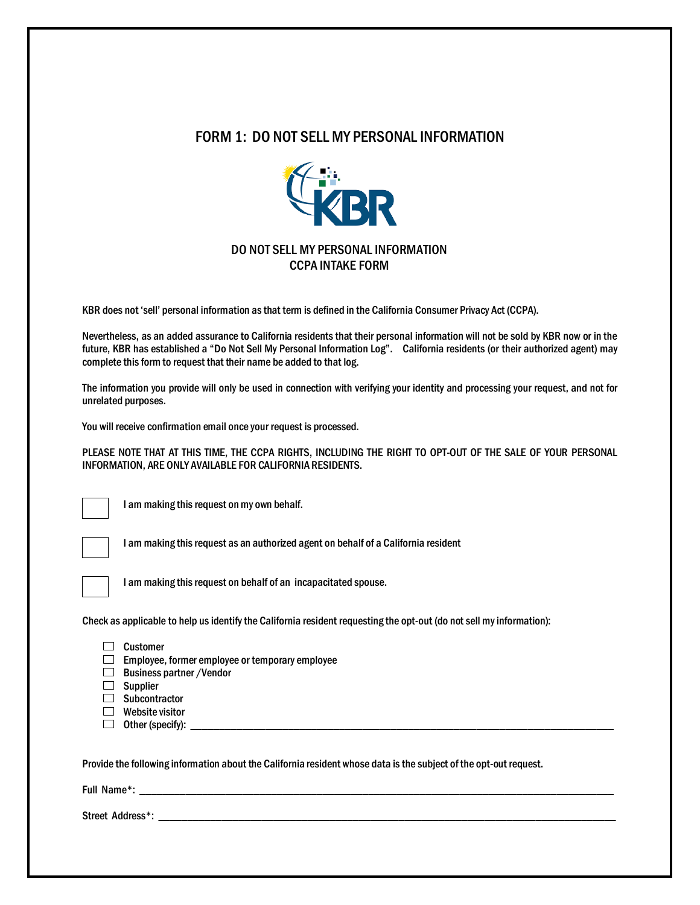## FORM 1: DO NOT SELL MY PERSONAL INFORMATION



## DO NOT SELL MY PERSONAL INFORMATION CCPA INTAKE FORM

KBR does not 'sell' personal information as that term is defined in the California Consumer Privacy Act (CCPA).

Nevertheless, as an added assurance to California residents that their personal information will not be sold by KBR now or in the future, KBR has established a "Do Not Sell My Personal Information Log". California residents (or their authorized agent) may complete this form to request that their name be added to that log.

The information you provide will only be used in connection with verifying your identity and processing your request, and not for unrelated purposes.

You will receive confirmation email once your request is processed.

PLEASE NOTE THAT AT THIS TIME, THE CCPA RIGHTS, INCLUDING THE RIGHT TO OPT-OUT OF THE SALE OF YOUR PERSONAL INFORMATION, ARE ONLY AVAILABLE FOR CALIFORNIA RESIDENTS.

I am making this request on my own behalf.

I am making this request as an authorized agent on behalf of a California resident



I am making this request on behalf of an incapacitated spouse.

Check as applicable to help us identify the California resident requesting the opt-out (do not sell my information):

| Customer                                                                                                       |
|----------------------------------------------------------------------------------------------------------------|
| Employee, former employee or temporary employee                                                                |
| <b>Business partner / Vendor</b>                                                                               |
| <b>Supplier</b>                                                                                                |
| Subcontractor                                                                                                  |
| Website visitor                                                                                                |
| Other (specify):                                                                                               |
|                                                                                                                |
|                                                                                                                |
| huide the following information about the California resident whose data is the subject of the ont-out request |

Provide the following information about the California resident whose data is the subject of the opt-out request.

Full Name\*: \_\_\_\_\_\_\_\_\_\_\_\_\_\_\_\_\_\_\_\_\_\_\_\_\_\_\_\_\_\_\_\_\_\_\_\_\_\_\_\_\_\_\_\_\_\_\_\_\_\_\_\_\_\_\_\_\_\_\_\_\_\_\_\_\_\_\_\_\_\_\_\_\_\_\_\_\_\_\_\_\_\_\_

Street Address\*: \_\_\_\_\_\_\_\_\_\_\_\_\_\_\_\_\_\_\_\_\_\_\_\_\_\_\_\_\_\_\_\_\_\_\_\_\_\_\_\_\_\_\_\_\_\_\_\_\_\_\_\_\_\_\_\_\_\_\_\_\_\_\_\_\_\_\_\_\_\_\_\_\_\_\_\_\_\_\_\_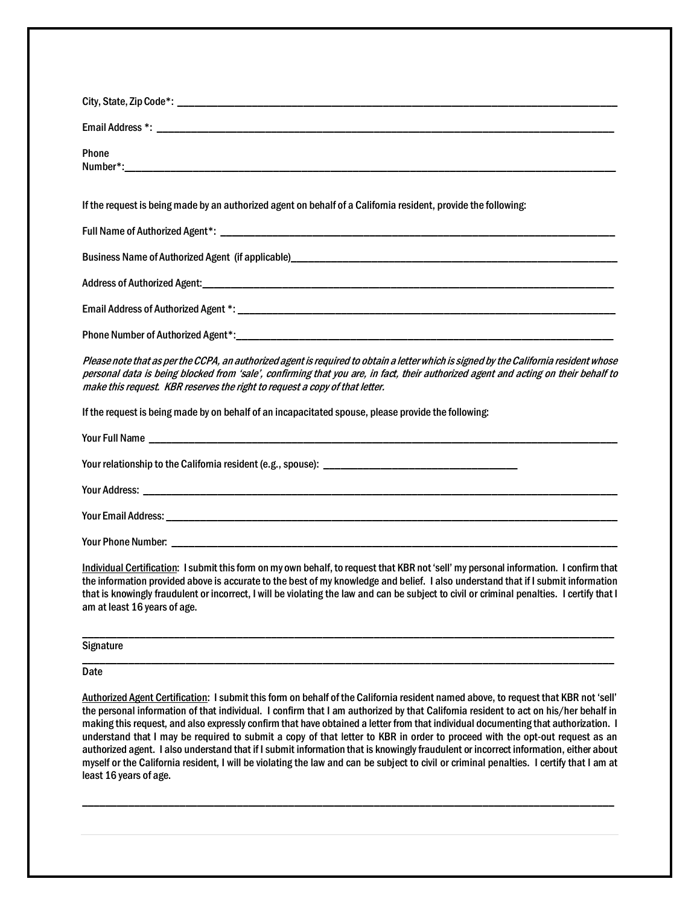| Phone<br>Number*: will be a series of the contract of the contract of the contract of the contract of the contract of the contract of the contract of the contract of the contract of the contract of the contract of the contract of t                                                                                                                                                                                                                  |
|----------------------------------------------------------------------------------------------------------------------------------------------------------------------------------------------------------------------------------------------------------------------------------------------------------------------------------------------------------------------------------------------------------------------------------------------------------|
| If the request is being made by an authorized agent on behalf of a California resident, provide the following:                                                                                                                                                                                                                                                                                                                                           |
|                                                                                                                                                                                                                                                                                                                                                                                                                                                          |
|                                                                                                                                                                                                                                                                                                                                                                                                                                                          |
|                                                                                                                                                                                                                                                                                                                                                                                                                                                          |
|                                                                                                                                                                                                                                                                                                                                                                                                                                                          |
|                                                                                                                                                                                                                                                                                                                                                                                                                                                          |
| Please note that as per the CCPA, an authorized agent is required to obtain a letter which is signed by the California resident whose<br>personal data is being blocked from 'sale', confirming that you are, in fact, their authorized agent and acting on their behalf to<br>make this request. KBR reserves the right to request a copy of that letter.                                                                                               |
| If the request is being made by on behalf of an incapacitated spouse, please provide the following:                                                                                                                                                                                                                                                                                                                                                      |
|                                                                                                                                                                                                                                                                                                                                                                                                                                                          |
|                                                                                                                                                                                                                                                                                                                                                                                                                                                          |
|                                                                                                                                                                                                                                                                                                                                                                                                                                                          |
|                                                                                                                                                                                                                                                                                                                                                                                                                                                          |
|                                                                                                                                                                                                                                                                                                                                                                                                                                                          |
| Individual Certification: I submit this form on my own behalf, to request that KBR not 'sell' my personal information. I confirm that<br>the information provided above is accurate to the best of my knowledge and belief. I also understand that if I submit information<br>that is knowingly fraudulent or incorrect, I will be violating the law and can be subject to civil or criminal penalties. I certify that I<br>am at least 16 years of age. |
| <b>Signature</b>                                                                                                                                                                                                                                                                                                                                                                                                                                         |
| Date                                                                                                                                                                                                                                                                                                                                                                                                                                                     |

Authorized Agent Certification: I submit this form on behalf of the California resident named above, to request that KBR not 'sell' the personal information of that individual. I confirm that I am authorized by that California resident to act on his/her behalf in making this request, and also expressly confirm that have obtained a letter from that individual documenting that authorization. I understand that I may be required to submit a copy of that letter to KBR in order to proceed with the opt-out request as an authorized agent. I also understand that if I submit information that is knowingly fraudulent or incorrect information, either about myself or the California resident, I will be violating the law and can be subject to civil or criminal penalties. I certify that I am at least 16 years of age.

\_\_\_\_\_\_\_\_\_\_\_\_\_\_\_\_\_\_\_\_\_\_\_\_\_\_\_\_\_\_\_\_\_\_\_\_\_\_\_\_\_\_\_\_\_\_\_\_\_\_\_\_\_\_\_\_\_\_\_\_\_\_\_\_\_\_\_\_\_\_\_\_\_\_\_\_\_\_\_\_\_\_\_\_\_\_\_\_\_\_\_\_\_